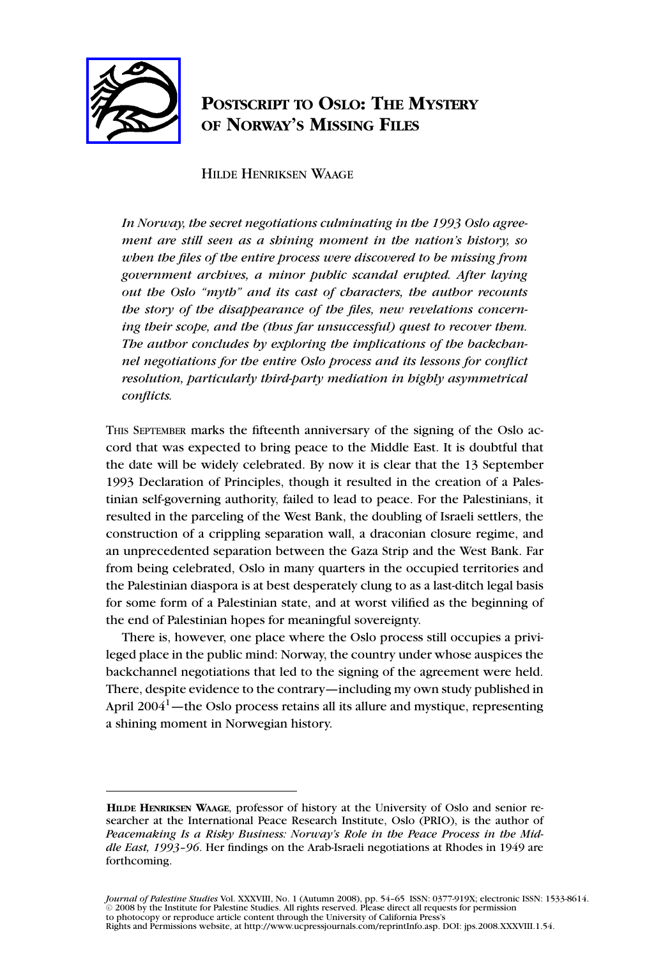

# **POSTSCRIPT TO OSLO: THE MYSTERY OF NORWAY'S MISSING FILES**

# HILDE HENRIKSEN WAAGE

*In Norway, the secret negotiations culminating in the 1993 Oslo agreement are still seen as a shining moment in the nation's history, so when the files of the entire process were discovered to be missing from government archives, a minor public scandal erupted. After laying out the Oslo "myth" and its cast of characters, the author recounts the story of the disappearance of the files, new revelations concerning their scope, and the (thus far unsuccessful) quest to recover them. The author concludes by exploring the implications of the backchannel negotiations for the entire Oslo process and its lessons for conflict resolution, particularly third-party mediation in highly asymmetrical conflicts.*

THIS SEPTEMBER marks the fifteenth anniversary of the signing of the Oslo accord that was expected to bring peace to the Middle East. It is doubtful that the date will be widely celebrated. By now it is clear that the 13 September 1993 Declaration of Principles, though it resulted in the creation of a Palestinian self-governing authority, failed to lead to peace. For the Palestinians, it resulted in the parceling of the West Bank, the doubling of Israeli settlers, the construction of a crippling separation wall, a draconian closure regime, and an unprecedented separation between the Gaza Strip and the West Bank. Far from being celebrated, Oslo in many quarters in the occupied territories and the Palestinian diaspora is at best desperately clung to as a last-ditch legal basis for some form of a Palestinian state, and at worst vilified as the beginning of the end of Palestinian hopes for meaningful sovereignty.

There is, however, one place where the Oslo process still occupies a privileged place in the public mind: Norway, the country under whose auspices the backchannel negotiations that led to the signing of the agreement were held. There, despite evidence to the contrary—including my own study published in April  $2004<sup>1</sup>$ —the Oslo process retains all its allure and mystique, representing a shining moment in Norwegian history.

**HILDE HENRIKSEN WAAGE**, professor of history at the University of Oslo and senior researcher at the International Peace Research Institute, Oslo (PRIO), is the author of *Peacemaking Is a Risky Business: Norway's Role in the Peace Process in the Middle East, 1993–96*. Her findings on the Arab-Israeli negotiations at Rhodes in 1949 are forthcoming.

*Journal of Palestine Studies* Vol. XXXVIII, No. 1 (Autumn 2008), pp. 54–65 ISSN: 0377-919X; electronic ISSN: 1533-8614.  $©$  2008 by the Institute for Palestine Studies. All rights reserved. Please direct all requests for permission to photocopy or reproduce article content through the University of California Press's

Rights and Permissions website, at http://www.ucpressjournals.com/reprintInfo.asp. DOI: jps.2008.XXXVIII.1.54.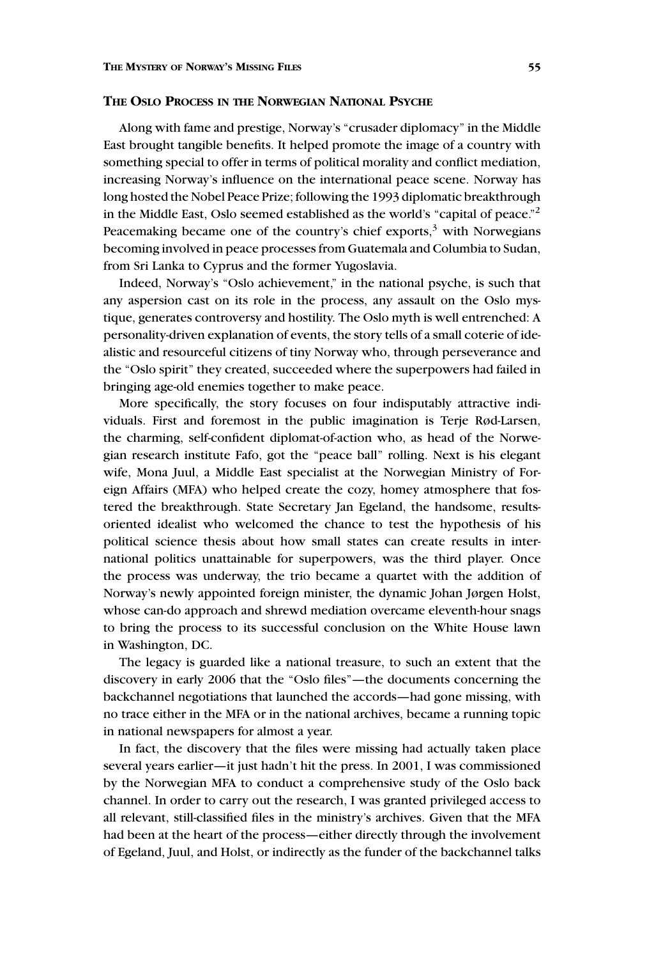## **THE OSLO PROCESS IN THE NORWEGIAN NATIONAL PSYCHE**

Along with fame and prestige, Norway's "crusader diplomacy" in the Middle East brought tangible benefits. It helped promote the image of a country with something special to offer in terms of political morality and conflict mediation, increasing Norway's influence on the international peace scene. Norway has long hosted the Nobel Peace Prize; following the 1993 diplomatic breakthrough in the Middle East, Oslo seemed established as the world's "capital of peace."<sup>2</sup> Peacemaking became one of the country's chief exports, $3$  with Norwegians becoming involved in peace processes from Guatemala and Columbia to Sudan, from Sri Lanka to Cyprus and the former Yugoslavia.

Indeed, Norway's "Oslo achievement," in the national psyche, is such that any aspersion cast on its role in the process, any assault on the Oslo mystique, generates controversy and hostility. The Oslo myth is well entrenched: A personality-driven explanation of events, the story tells of a small coterie of idealistic and resourceful citizens of tiny Norway who, through perseverance and the "Oslo spirit" they created, succeeded where the superpowers had failed in bringing age-old enemies together to make peace.

More specifically, the story focuses on four indisputably attractive individuals. First and foremost in the public imagination is Terje Rød-Larsen, the charming, self-confident diplomat-of-action who, as head of the Norwegian research institute Fafo, got the "peace ball" rolling. Next is his elegant wife, Mona Juul, a Middle East specialist at the Norwegian Ministry of Foreign Affairs (MFA) who helped create the cozy, homey atmosphere that fostered the breakthrough. State Secretary Jan Egeland, the handsome, resultsoriented idealist who welcomed the chance to test the hypothesis of his political science thesis about how small states can create results in international politics unattainable for superpowers, was the third player. Once the process was underway, the trio became a quartet with the addition of Norway's newly appointed foreign minister, the dynamic Johan Jørgen Holst, whose can-do approach and shrewd mediation overcame eleventh-hour snags to bring the process to its successful conclusion on the White House lawn in Washington, DC.

The legacy is guarded like a national treasure, to such an extent that the discovery in early 2006 that the "Oslo files"—the documents concerning the backchannel negotiations that launched the accords—had gone missing, with no trace either in the MFA or in the national archives, became a running topic in national newspapers for almost a year.

In fact, the discovery that the files were missing had actually taken place several years earlier—it just hadn't hit the press. In 2001, I was commissioned by the Norwegian MFA to conduct a comprehensive study of the Oslo back channel. In order to carry out the research, I was granted privileged access to all relevant, still-classified files in the ministry's archives. Given that the MFA had been at the heart of the process—either directly through the involvement of Egeland, Juul, and Holst, or indirectly as the funder of the backchannel talks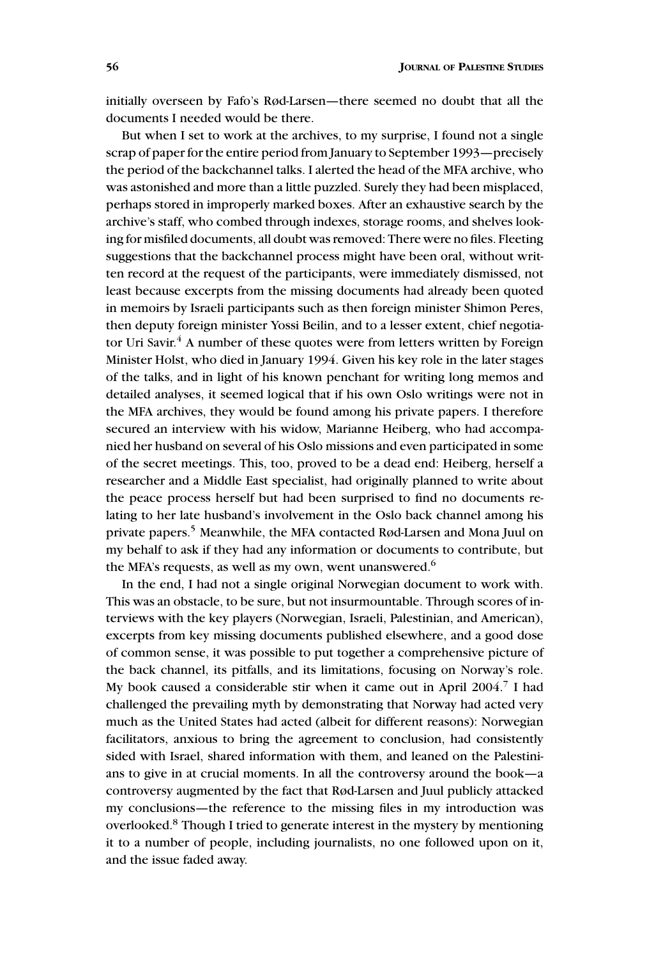initially overseen by Fafo's Rød-Larsen—there seemed no doubt that all the documents I needed would be there.

But when I set to work at the archives, to my surprise, I found not a single scrap of paper for the entire period from January to September 1993—precisely the period of the backchannel talks. I alerted the head of the MFA archive, who was astonished and more than a little puzzled. Surely they had been misplaced, perhaps stored in improperly marked boxes. After an exhaustive search by the archive's staff, who combed through indexes, storage rooms, and shelves looking for misfiled documents, all doubt was removed: There were no files. Fleeting suggestions that the backchannel process might have been oral, without written record at the request of the participants, were immediately dismissed, not least because excerpts from the missing documents had already been quoted in memoirs by Israeli participants such as then foreign minister Shimon Peres, then deputy foreign minister Yossi Beilin, and to a lesser extent, chief negotiator Uri Savir.<sup>4</sup> A number of these quotes were from letters written by Foreign Minister Holst, who died in January 1994. Given his key role in the later stages of the talks, and in light of his known penchant for writing long memos and detailed analyses, it seemed logical that if his own Oslo writings were not in the MFA archives, they would be found among his private papers. I therefore secured an interview with his widow, Marianne Heiberg, who had accompanied her husband on several of his Oslo missions and even participated in some of the secret meetings. This, too, proved to be a dead end: Heiberg, herself a researcher and a Middle East specialist, had originally planned to write about the peace process herself but had been surprised to find no documents relating to her late husband's involvement in the Oslo back channel among his private papers.5 Meanwhile, the MFA contacted Rød-Larsen and Mona Juul on my behalf to ask if they had any information or documents to contribute, but the MFA's requests, as well as my own, went unanswered. $6$ 

In the end, I had not a single original Norwegian document to work with. This was an obstacle, to be sure, but not insurmountable. Through scores of interviews with the key players (Norwegian, Israeli, Palestinian, and American), excerpts from key missing documents published elsewhere, and a good dose of common sense, it was possible to put together a comprehensive picture of the back channel, its pitfalls, and its limitations, focusing on Norway's role. My book caused a considerable stir when it came out in April  $2004$ .<sup>7</sup> I had challenged the prevailing myth by demonstrating that Norway had acted very much as the United States had acted (albeit for different reasons): Norwegian facilitators, anxious to bring the agreement to conclusion, had consistently sided with Israel, shared information with them, and leaned on the Palestinians to give in at crucial moments. In all the controversy around the book—a controversy augmented by the fact that Rød-Larsen and Juul publicly attacked my conclusions—the reference to the missing files in my introduction was overlooked.8 Though I tried to generate interest in the mystery by mentioning it to a number of people, including journalists, no one followed upon on it, and the issue faded away.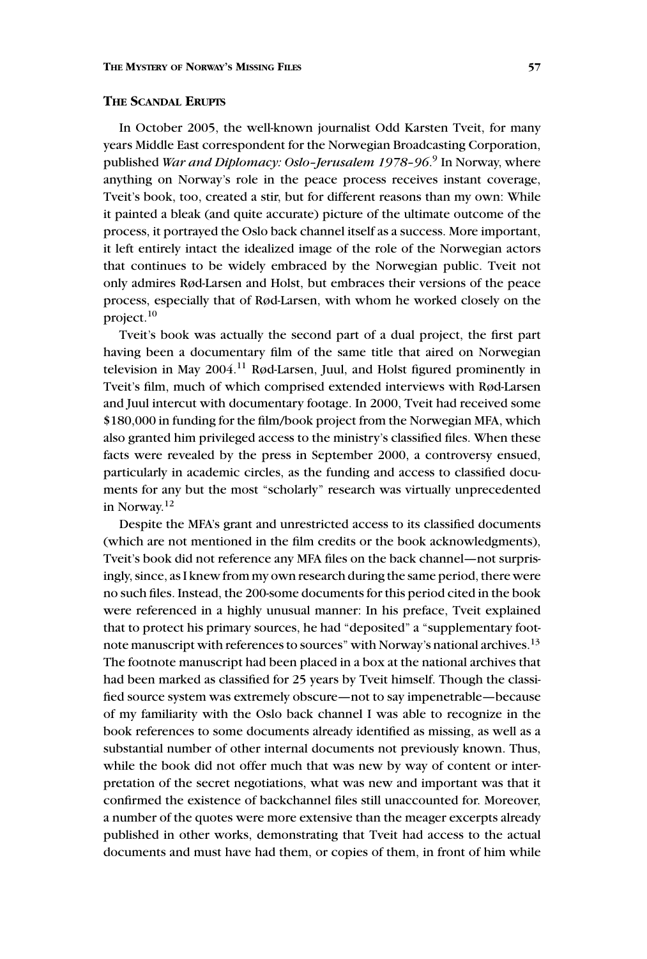#### **THE SCANDAL ERUPTS**

In October 2005, the well-known journalist Odd Karsten Tveit, for many years Middle East correspondent for the Norwegian Broadcasting Corporation, published *War and Diplomacy: Oslo–Jerusalem 1978–96*. <sup>9</sup> In Norway, where anything on Norway's role in the peace process receives instant coverage, Tveit's book, too, created a stir, but for different reasons than my own: While it painted a bleak (and quite accurate) picture of the ultimate outcome of the process, it portrayed the Oslo back channel itself as a success. More important, it left entirely intact the idealized image of the role of the Norwegian actors that continues to be widely embraced by the Norwegian public. Tveit not only admires Rød-Larsen and Holst, but embraces their versions of the peace process, especially that of Rød-Larsen, with whom he worked closely on the project.10

Tveit's book was actually the second part of a dual project, the first part having been a documentary film of the same title that aired on Norwegian television in May  $2004$ <sup>11</sup> Rød-Larsen, Juul, and Holst figured prominently in Tveit's film, much of which comprised extended interviews with Rød-Larsen and Juul intercut with documentary footage. In 2000, Tveit had received some \$180,000 in funding for the film/book project from the Norwegian MFA, which also granted him privileged access to the ministry's classified files. When these facts were revealed by the press in September 2000, a controversy ensued, particularly in academic circles, as the funding and access to classified documents for any but the most "scholarly" research was virtually unprecedented in Norway.12

Despite the MFA's grant and unrestricted access to its classified documents (which are not mentioned in the film credits or the book acknowledgments), Tveit's book did not reference any MFA files on the back channel—not surprisingly, since, as I knew from my own research during the same period, there were no such files. Instead, the 200-some documents for this period cited in the book were referenced in a highly unusual manner: In his preface, Tveit explained that to protect his primary sources, he had "deposited" a "supplementary footnote manuscript with references to sources" with Norway's national archives.<sup>13</sup> The footnote manuscript had been placed in a box at the national archives that had been marked as classified for 25 years by Tveit himself. Though the classified source system was extremely obscure—not to say impenetrable—because of my familiarity with the Oslo back channel I was able to recognize in the book references to some documents already identified as missing, as well as a substantial number of other internal documents not previously known. Thus, while the book did not offer much that was new by way of content or interpretation of the secret negotiations, what was new and important was that it confirmed the existence of backchannel files still unaccounted for. Moreover, a number of the quotes were more extensive than the meager excerpts already published in other works, demonstrating that Tveit had access to the actual documents and must have had them, or copies of them, in front of him while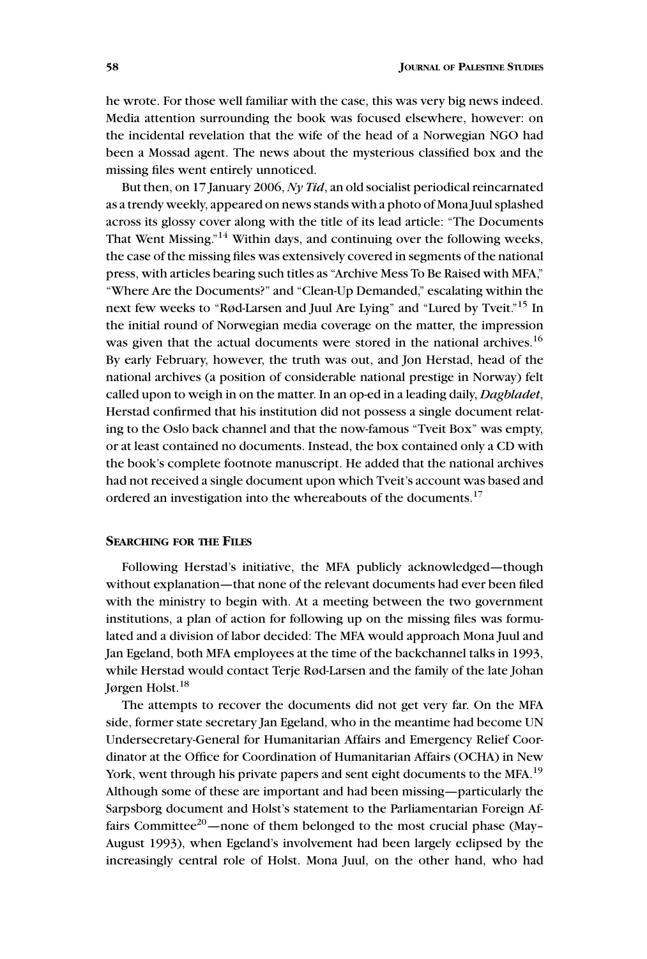he wrote. For those well familiar with the case, this was very big news indeed. Media attention surrounding the book was focused elsewhere, however: on the incidental revelation that the wife of the head of a Norwegian NGO had been a Mossad agent. The news about the mysterious classified box and the missing files went entirely unnoticed.

But then, on 17 January 2006, *Ny Tid*, an old socialist periodical reincarnated as a trendy weekly, appeared on news stands with a photo of Mona Juul splashed across its glossy cover along with the title of its lead article: "The Documents That Went Missing."<sup>14</sup> Within days, and continuing over the following weeks, the case of the missing files was extensively covered in segments of the national press, with articles bearing such titles as "Archive Mess To Be Raised with MFA," "Where Are the Documents?" and "Clean-Up Demanded," escalating within the next few weeks to "Rød-Larsen and Juul Are Lying" and "Lured by Tveit."<sup>15</sup> In the initial round of Norwegian media coverage on the matter, the impression was given that the actual documents were stored in the national archives.<sup>16</sup> By early February, however, the truth was out, and Jon Herstad, head of the national archives (a position of considerable national prestige in Norway) felt called upon to weigh in on the matter. In an op-ed in a leading daily, *Dagbladet*, Herstad confirmed that his institution did not possess a single document relating to the Oslo back channel and that the now-famous "Tveit Box" was empty, or at least contained no documents. Instead, the box contained only a CD with the book's complete footnote manuscript. He added that the national archives had not received a single document upon which Tveit's account was based and ordered an investigation into the whereabouts of the documents.17

#### **SEARCHING FOR THE FILES**

Following Herstad's initiative, the MFA publicly acknowledged—though without explanation—that none of the relevant documents had ever been filed with the ministry to begin with. At a meeting between the two government institutions, a plan of action for following up on the missing files was formulated and a division of labor decided: The MFA would approach Mona Juul and Jan Egeland, both MFA employees at the time of the backchannel talks in 1993, while Herstad would contact Terje Rød-Larsen and the family of the late Johan Jørgen Holst.<sup>18</sup>

The attempts to recover the documents did not get very far. On the MFA side, former state secretary Jan Egeland, who in the meantime had become UN Undersecretary-General for Humanitarian Affairs and Emergency Relief Coordinator at the Office for Coordination of Humanitarian Affairs (OCHA) in New York, went through his private papers and sent eight documents to the MFA.<sup>19</sup> Although some of these are important and had been missing—particularly the Sarpsborg document and Holst's statement to the Parliamentarian Foreign Affairs Committee<sup>20</sup>—none of them belonged to the most crucial phase (May– August 1993), when Egeland's involvement had been largely eclipsed by the increasingly central role of Holst. Mona Juul, on the other hand, who had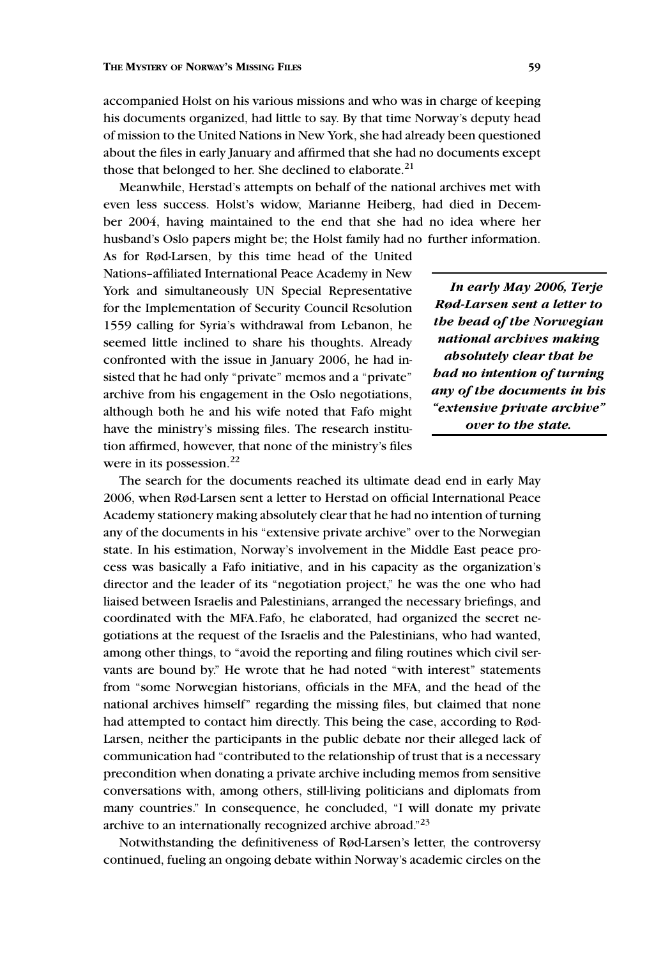accompanied Holst on his various missions and who was in charge of keeping his documents organized, had little to say. By that time Norway's deputy head of mission to the United Nations in New York, she had already been questioned about the files in early January and affirmed that she had no documents except those that belonged to her. She declined to elaborate. $21$ 

Meanwhile, Herstad's attempts on behalf of the national archives met with even less success. Holst's widow, Marianne Heiberg, had died in December 2004, having maintained to the end that she had no idea where her husband's Oslo papers might be; the Holst family had no further information.

As for Rød-Larsen, by this time head of the United Nations–affiliated International Peace Academy in New York and simultaneously UN Special Representative for the Implementation of Security Council Resolution 1559 calling for Syria's withdrawal from Lebanon, he seemed little inclined to share his thoughts. Already confronted with the issue in January 2006, he had insisted that he had only "private" memos and a "private" archive from his engagement in the Oslo negotiations, although both he and his wife noted that Fafo might have the ministry's missing files. The research institution affirmed, however, that none of the ministry's files were in its possession. $22$ 

*In early May 2006, Terje Rød-Larsen sent a letter to the head of the Norwegian national archives making absolutely clear that he had no intention of turning any of the documents in his "extensive private archive" over to the state.*

The search for the documents reached its ultimate dead end in early May 2006, when Rød-Larsen sent a letter to Herstad on official International Peace Academy stationery making absolutely clear that he had no intention of turning any of the documents in his "extensive private archive" over to the Norwegian state. In his estimation, Norway's involvement in the Middle East peace process was basically a Fafo initiative, and in his capacity as the organization's director and the leader of its "negotiation project," he was the one who had liaised between Israelis and Palestinians, arranged the necessary briefings, and coordinated with the MFA.Fafo, he elaborated, had organized the secret negotiations at the request of the Israelis and the Palestinians, who had wanted, among other things, to "avoid the reporting and filing routines which civil servants are bound by." He wrote that he had noted "with interest" statements from "some Norwegian historians, officials in the MFA, and the head of the national archives himself" regarding the missing files, but claimed that none had attempted to contact him directly. This being the case, according to Rød-Larsen, neither the participants in the public debate nor their alleged lack of communication had "contributed to the relationship of trust that is a necessary precondition when donating a private archive including memos from sensitive conversations with, among others, still-living politicians and diplomats from many countries." In consequence, he concluded, "I will donate my private archive to an internationally recognized archive abroad." $^{23}$ 

Notwithstanding the definitiveness of Rød-Larsen's letter, the controversy continued, fueling an ongoing debate within Norway's academic circles on the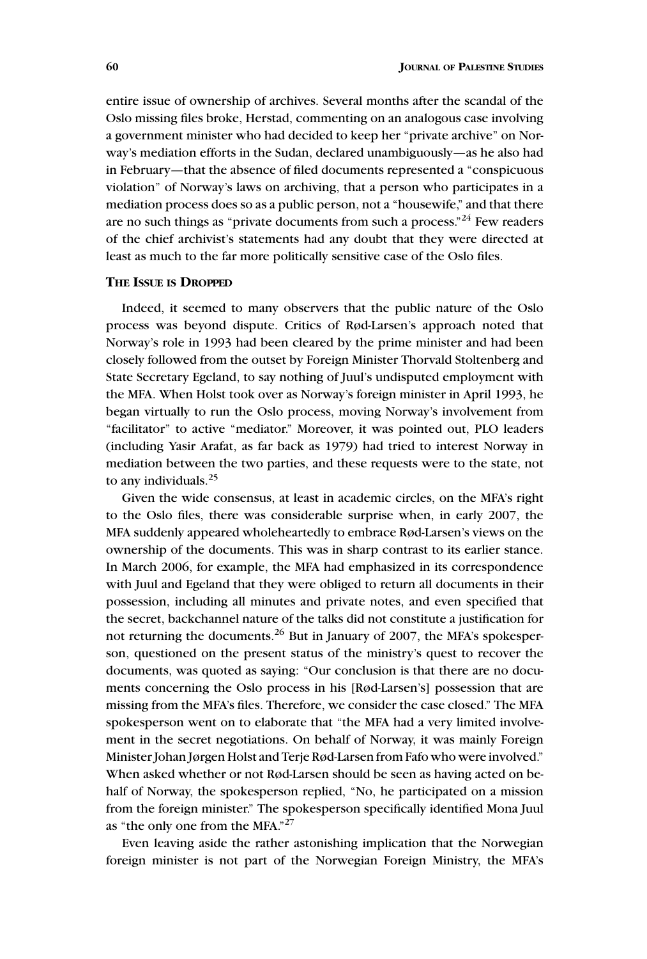entire issue of ownership of archives. Several months after the scandal of the Oslo missing files broke, Herstad, commenting on an analogous case involving a government minister who had decided to keep her "private archive" on Norway's mediation efforts in the Sudan, declared unambiguously—as he also had in February—that the absence of filed documents represented a "conspicuous violation" of Norway's laws on archiving, that a person who participates in a mediation process does so as a public person, not a "housewife," and that there are no such things as "private documents from such a process."<sup>24</sup> Few readers of the chief archivist's statements had any doubt that they were directed at least as much to the far more politically sensitive case of the Oslo files.

## **THE ISSUE IS DROPPED**

Indeed, it seemed to many observers that the public nature of the Oslo process was beyond dispute. Critics of Rød-Larsen's approach noted that Norway's role in 1993 had been cleared by the prime minister and had been closely followed from the outset by Foreign Minister Thorvald Stoltenberg and State Secretary Egeland, to say nothing of Juul's undisputed employment with the MFA. When Holst took over as Norway's foreign minister in April 1993, he began virtually to run the Oslo process, moving Norway's involvement from "facilitator" to active "mediator." Moreover, it was pointed out, PLO leaders (including Yasir Arafat, as far back as 1979) had tried to interest Norway in mediation between the two parties, and these requests were to the state, not to any individuals.<sup>25</sup>

Given the wide consensus, at least in academic circles, on the MFA's right to the Oslo files, there was considerable surprise when, in early 2007, the MFA suddenly appeared wholeheartedly to embrace Rød-Larsen's views on the ownership of the documents. This was in sharp contrast to its earlier stance. In March 2006, for example, the MFA had emphasized in its correspondence with Juul and Egeland that they were obliged to return all documents in their possession, including all minutes and private notes, and even specified that the secret, backchannel nature of the talks did not constitute a justification for not returning the documents.<sup>26</sup> But in January of 2007, the MFA's spokesperson, questioned on the present status of the ministry's quest to recover the documents, was quoted as saying: "Our conclusion is that there are no documents concerning the Oslo process in his [Rød-Larsen's] possession that are missing from the MFA's files. Therefore, we consider the case closed." The MFA spokesperson went on to elaborate that "the MFA had a very limited involvement in the secret negotiations. On behalf of Norway, it was mainly Foreign Minister Johan Jørgen Holst and Terje Rød-Larsen from Fafo who were involved." When asked whether or not Rød-Larsen should be seen as having acted on behalf of Norway, the spokesperson replied, "No, he participated on a mission from the foreign minister." The spokesperson specifically identified Mona Juul as "the only one from the MFA."27

Even leaving aside the rather astonishing implication that the Norwegian foreign minister is not part of the Norwegian Foreign Ministry, the MFA's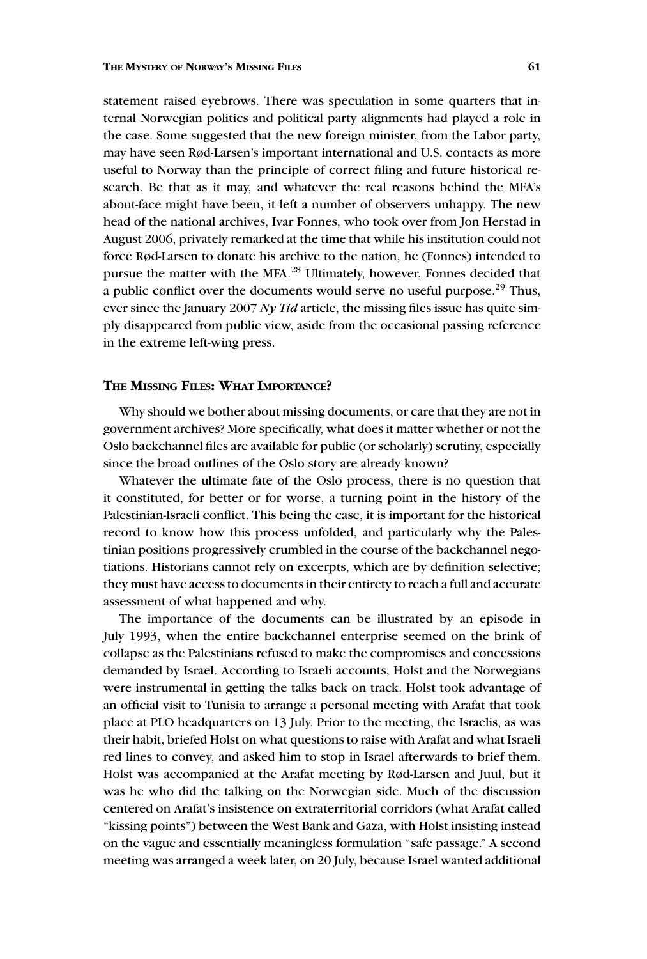statement raised eyebrows. There was speculation in some quarters that internal Norwegian politics and political party alignments had played a role in the case. Some suggested that the new foreign minister, from the Labor party, may have seen Rød-Larsen's important international and U.S. contacts as more useful to Norway than the principle of correct filing and future historical research. Be that as it may, and whatever the real reasons behind the MFA's about-face might have been, it left a number of observers unhappy. The new head of the national archives, Ivar Fonnes, who took over from Jon Herstad in August 2006, privately remarked at the time that while his institution could not force Rød-Larsen to donate his archive to the nation, he (Fonnes) intended to pursue the matter with the MFA.<sup>28</sup> Ultimately, however, Fonnes decided that a public conflict over the documents would serve no useful purpose.<sup>29</sup> Thus, ever since the January 2007 *Ny Tid* article, the missing files issue has quite simply disappeared from public view, aside from the occasional passing reference in the extreme left-wing press.

## **THE MISSING FILES: WHAT IMPORTANCE?**

Why should we bother about missing documents, or care that they are not in government archives? More specifically, what does it matter whether or not the Oslo backchannel files are available for public (or scholarly) scrutiny, especially since the broad outlines of the Oslo story are already known?

Whatever the ultimate fate of the Oslo process, there is no question that it constituted, for better or for worse, a turning point in the history of the Palestinian-Israeli conflict. This being the case, it is important for the historical record to know how this process unfolded, and particularly why the Palestinian positions progressively crumbled in the course of the backchannel negotiations. Historians cannot rely on excerpts, which are by definition selective; they must have access to documents in their entirety to reach a full and accurate assessment of what happened and why.

The importance of the documents can be illustrated by an episode in July 1993, when the entire backchannel enterprise seemed on the brink of collapse as the Palestinians refused to make the compromises and concessions demanded by Israel. According to Israeli accounts, Holst and the Norwegians were instrumental in getting the talks back on track. Holst took advantage of an official visit to Tunisia to arrange a personal meeting with Arafat that took place at PLO headquarters on 13 July. Prior to the meeting, the Israelis, as was their habit, briefed Holst on what questions to raise with Arafat and what Israeli red lines to convey, and asked him to stop in Israel afterwards to brief them. Holst was accompanied at the Arafat meeting by Rød-Larsen and Juul, but it was he who did the talking on the Norwegian side. Much of the discussion centered on Arafat's insistence on extraterritorial corridors (what Arafat called "kissing points") between the West Bank and Gaza, with Holst insisting instead on the vague and essentially meaningless formulation "safe passage." A second meeting was arranged a week later, on 20 July, because Israel wanted additional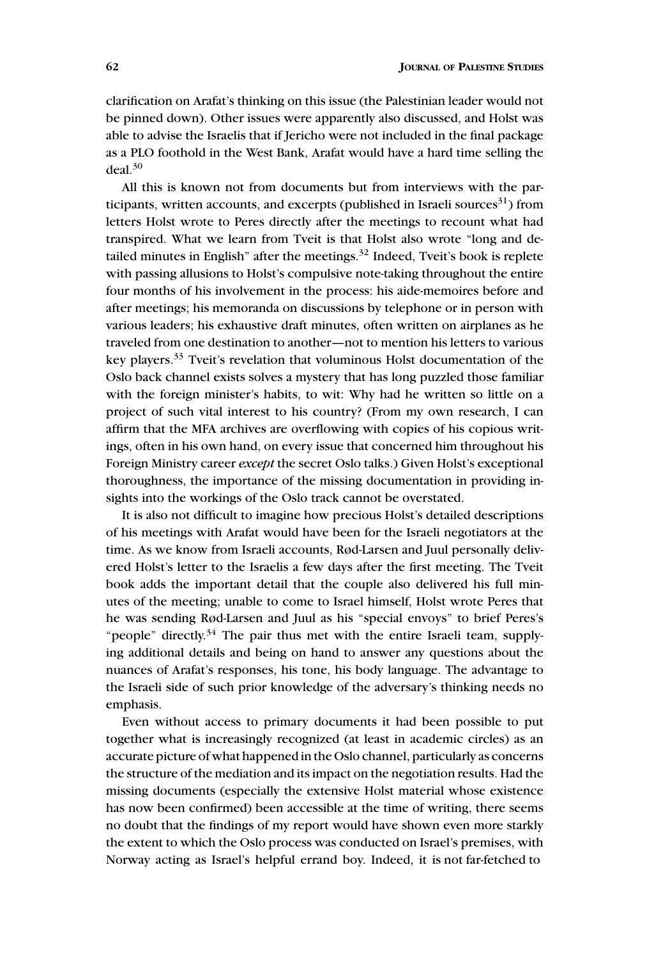clarification on Arafat's thinking on this issue (the Palestinian leader would not be pinned down). Other issues were apparently also discussed, and Holst was able to advise the Israelis that if Jericho were not included in the final package as a PLO foothold in the West Bank, Arafat would have a hard time selling the deal.<sup>30</sup>

All this is known not from documents but from interviews with the participants, written accounts, and excerpts (published in Israeli sources $31$ ) from letters Holst wrote to Peres directly after the meetings to recount what had transpired. What we learn from Tveit is that Holst also wrote "long and detailed minutes in English" after the meetings. $32$  Indeed, Tveit's book is replete with passing allusions to Holst's compulsive note-taking throughout the entire four months of his involvement in the process: his aide-memoires before and after meetings; his memoranda on discussions by telephone or in person with various leaders; his exhaustive draft minutes, often written on airplanes as he traveled from one destination to another—not to mention his letters to various key players.<sup>33</sup> Tveit's revelation that voluminous Holst documentation of the Oslo back channel exists solves a mystery that has long puzzled those familiar with the foreign minister's habits, to wit: Why had he written so little on a project of such vital interest to his country? (From my own research, I can affirm that the MFA archives are overflowing with copies of his copious writings, often in his own hand, on every issue that concerned him throughout his Foreign Ministry career *except* the secret Oslo talks.) Given Holst's exceptional thoroughness, the importance of the missing documentation in providing insights into the workings of the Oslo track cannot be overstated.

It is also not difficult to imagine how precious Holst's detailed descriptions of his meetings with Arafat would have been for the Israeli negotiators at the time. As we know from Israeli accounts, Rød-Larsen and Juul personally delivered Holst's letter to the Israelis a few days after the first meeting. The Tveit book adds the important detail that the couple also delivered his full minutes of the meeting; unable to come to Israel himself, Holst wrote Peres that he was sending Rød-Larsen and Juul as his "special envoys" to brief Peres's "people" directly.<sup>34</sup> The pair thus met with the entire Israeli team, supplying additional details and being on hand to answer any questions about the nuances of Arafat's responses, his tone, his body language. The advantage to the Israeli side of such prior knowledge of the adversary's thinking needs no emphasis.

Even without access to primary documents it had been possible to put together what is increasingly recognized (at least in academic circles) as an accurate picture of what happened in the Oslo channel, particularly as concerns the structure of the mediation and its impact on the negotiation results. Had the missing documents (especially the extensive Holst material whose existence has now been confirmed) been accessible at the time of writing, there seems no doubt that the findings of my report would have shown even more starkly the extent to which the Oslo process was conducted on Israel's premises, with Norway acting as Israel's helpful errand boy. Indeed, it is not far-fetched to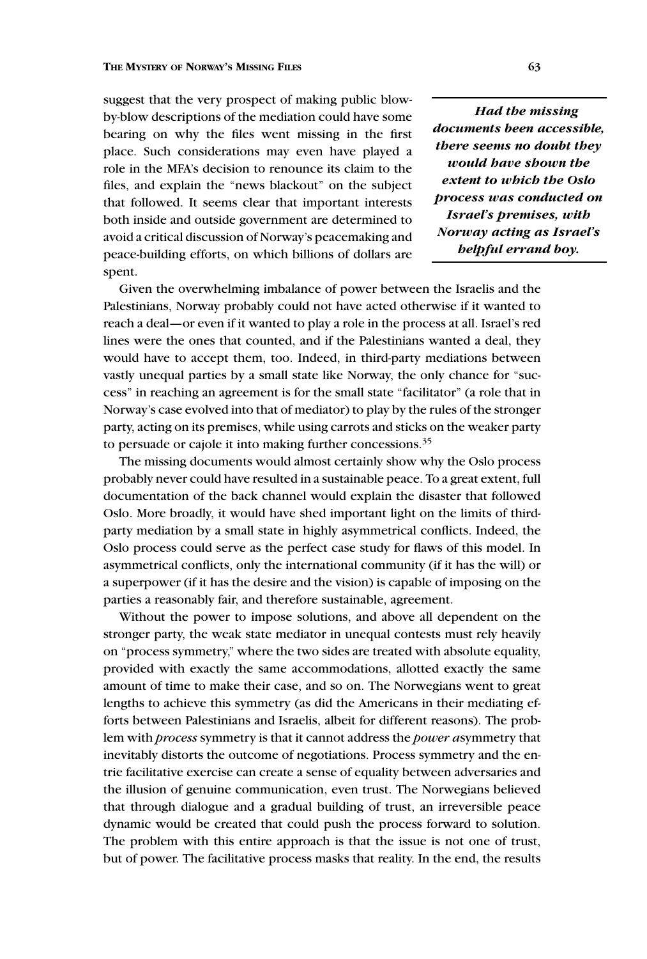suggest that the very prospect of making public blowby-blow descriptions of the mediation could have some bearing on why the files went missing in the first place. Such considerations may even have played a role in the MFA's decision to renounce its claim to the files, and explain the "news blackout" on the subject that followed. It seems clear that important interests both inside and outside government are determined to avoid a critical discussion of Norway's peacemaking and peace-building efforts, on which billions of dollars are spent.

*Had the missing documents been accessible, there seems no doubt they would have shown the extent to which the Oslo process was conducted on Israel's premises, with Norway acting as Israel's helpful errand boy.*

Given the overwhelming imbalance of power between the Israelis and the Palestinians, Norway probably could not have acted otherwise if it wanted to reach a deal—or even if it wanted to play a role in the process at all. Israel's red lines were the ones that counted, and if the Palestinians wanted a deal, they would have to accept them, too. Indeed, in third-party mediations between vastly unequal parties by a small state like Norway, the only chance for "success" in reaching an agreement is for the small state "facilitator" (a role that in Norway's case evolved into that of mediator) to play by the rules of the stronger party, acting on its premises, while using carrots and sticks on the weaker party to persuade or cajole it into making further concessions.<sup>35</sup>

The missing documents would almost certainly show why the Oslo process probably never could have resulted in a sustainable peace. To a great extent, full documentation of the back channel would explain the disaster that followed Oslo. More broadly, it would have shed important light on the limits of thirdparty mediation by a small state in highly asymmetrical conflicts. Indeed, the Oslo process could serve as the perfect case study for flaws of this model. In asymmetrical conflicts, only the international community (if it has the will) or a superpower (if it has the desire and the vision) is capable of imposing on the parties a reasonably fair, and therefore sustainable, agreement.

Without the power to impose solutions, and above all dependent on the stronger party, the weak state mediator in unequal contests must rely heavily on "process symmetry," where the two sides are treated with absolute equality, provided with exactly the same accommodations, allotted exactly the same amount of time to make their case, and so on. The Norwegians went to great lengths to achieve this symmetry (as did the Americans in their mediating efforts between Palestinians and Israelis, albeit for different reasons). The problem with *process* symmetry is that it cannot address the *power a*symmetry that inevitably distorts the outcome of negotiations. Process symmetry and the entrie facilitative exercise can create a sense of equality between adversaries and the illusion of genuine communication, even trust. The Norwegians believed that through dialogue and a gradual building of trust, an irreversible peace dynamic would be created that could push the process forward to solution. The problem with this entire approach is that the issue is not one of trust, but of power. The facilitative process masks that reality. In the end, the results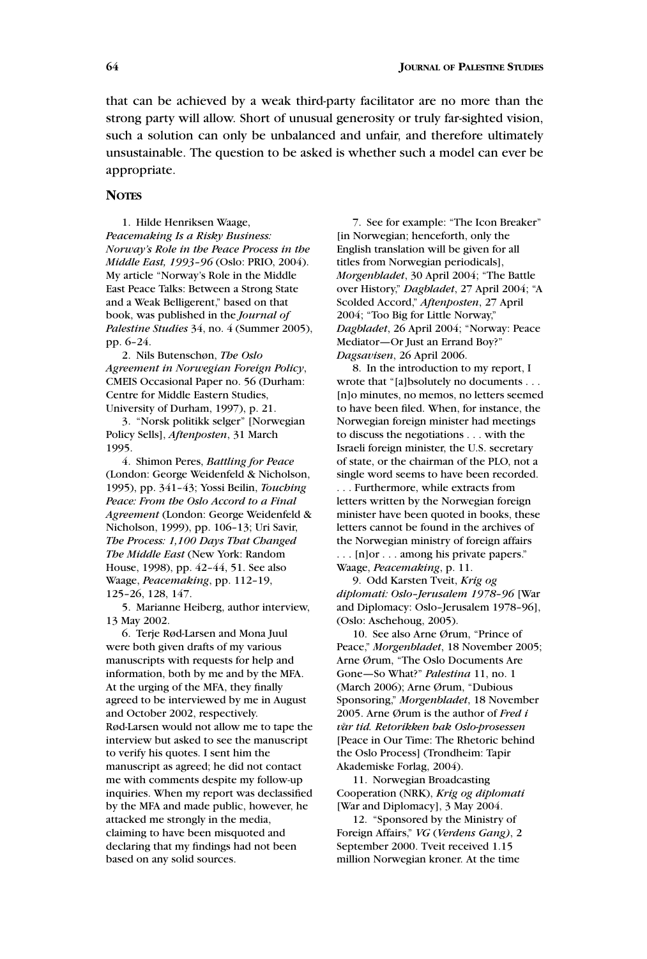that can be achieved by a weak third-party facilitator are no more than the strong party will allow. Short of unusual generosity or truly far-sighted vision, such a solution can only be unbalanced and unfair, and therefore ultimately unsustainable. The question to be asked is whether such a model can ever be appropriate.

#### **NOTES**

1. Hilde Henriksen Waage, *Peacemaking Is a Risky Business: Norway's Role in the Peace Process in the Middle East, 1993–96* (Oslo: PRIO, 2004). My article "Norway's Role in the Middle East Peace Talks: Between a Strong State and a Weak Belligerent," based on that book, was published in the *Journal of Palestine Studies* 34, no. 4 (Summer 2005), pp. 6–24.

2. Nils Butenschøn, *The Oslo Agreement in Norwegian Foreign Policy*, CMEIS Occasional Paper no. 56 (Durham: Centre for Middle Eastern Studies, University of Durham, 1997), p. 21.

3. "Norsk politikk selger" [Norwegian Policy Sells], *Aftenposten*, 31 March 1995.

4. Shimon Peres, *Battling for Peace* (London: George Weidenfeld & Nicholson, 1995), pp. 341–43; Yossi Beilin, *Touching Peace: From the Oslo Accord to a Final Agreement* (London: George Weidenfeld & Nicholson, 1999), pp. 106–13; Uri Savir, *The Process: 1,100 Days That Changed The Middle East* (New York: Random House, 1998), pp. 42–44, 51. See also Waage, *Peacemaking*, pp. 112–19, 125–26, 128, 147.

5. Marianne Heiberg, author interview, 13 May 2002.

6. Terje Rød-Larsen and Mona Juul were both given drafts of my various manuscripts with requests for help and information, both by me and by the MFA. At the urging of the MFA, they finally agreed to be interviewed by me in August and October 2002, respectively. Rød-Larsen would not allow me to tape the interview but asked to see the manuscript to verify his quotes. I sent him the manuscript as agreed; he did not contact me with comments despite my follow-up inquiries. When my report was declassified by the MFA and made public, however, he attacked me strongly in the media, claiming to have been misquoted and declaring that my findings had not been based on any solid sources.

7. See for example: "The Icon Breaker" [in Norwegian; henceforth, only the English translation will be given for all titles from Norwegian periodicals], *Morgenbladet*, 30 April 2004; "The Battle over History," *Dagbladet*, 27 April 2004; "A Scolded Accord," *Aftenposten*, 27 April 2004; "Too Big for Little Norway," *Dagbladet*, 26 April 2004; "Norway: Peace Mediator—Or Just an Errand Boy?" *Dagsavisen*, 26 April 2006.

8. In the introduction to my report, I wrote that "[a]bsolutely no documents . . . [n]o minutes, no memos, no letters seemed to have been filed. When, for instance, the Norwegian foreign minister had meetings to discuss the negotiations . . . with the Israeli foreign minister, the U.S. secretary of state, or the chairman of the PLO, not a single word seems to have been recorded. . . . Furthermore, while extracts from letters written by the Norwegian foreign minister have been quoted in books, these letters cannot be found in the archives of the Norwegian ministry of foreign affairs . . . [n]or . . . among his private papers." Waage, *Peacemaking*, p. 11.

9. Odd Karsten Tveit, *Krig og diplomati: Oslo–Jerusalem 1978–96* [War and Diplomacy: Oslo–Jerusalem 1978–96], (Oslo: Aschehoug, 2005).

10. See also Arne Ørum, "Prince of Peace," *Morgenbladet*, 18 November 2005; Arne Ørum, "The Oslo Documents Are Gone—So What?" *Palestina* 11, no. 1 (March 2006); Arne Ørum, "Dubious Sponsoring," *Morgenbladet*, 18 November 2005. Arne Ørum is the author of *Fred i var tid. Retorikken bak Oslo-prosessen* ° [Peace in Our Time: The Rhetoric behind the Oslo Process] (Trondheim: Tapir Akademiske Forlag, 2004).

11. Norwegian Broadcasting Cooperation (NRK), *Krig og diplomati* [War and Diplomacy], 3 May 2004.

12. "Sponsored by the Ministry of Foreign Affairs," *VG* (*Verdens Gang)*, 2 September 2000. Tveit received 1.15 million Norwegian kroner. At the time